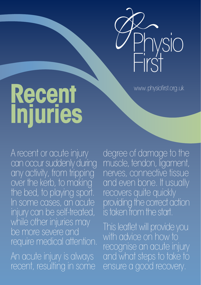

www.physiofirst.org.uk

## **Recent Injuries**

A recent or acute injury can occur suddenly during any activity, from tripping over the kerb, to making the bed, to playing sport. In some cases, an acute injury can be self-treated, while other injuries may be more severe and require medical attention.

An acute injury is always recent, resulting in some degree of damage to the muscle, tendon, ligament, nerves, connective tissue and even bone. It usually recovers quite quickly providing the correct action is taken from the start.

This leaflet will provide you with advice on how to recognise an acute injury and what steps to take to ensure a good recovery.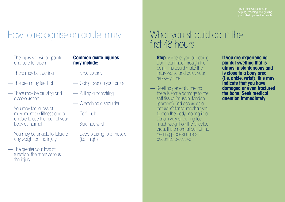you, to help yourself to health.

## How to recognise an acute injury

- The injury site will be painful and sore to touch
- There may be swelling
- The area may feel hot
- There may be bruising and discolouration
- You may feel a loss of movement or stiffness and be unable to use that part of your body as normal
- You may be unable to tolerate any weight on the injury
- The greater your loss of function, the more serious the injury.

#### **Common acute injuries may include:**

- Knee sprains
- Going over on your ankle
- Pulling a hamstring
- Wrenching a shoulder
- Calf 'pull'
- Sprained wrist
- Deep bruising to a muscle (i.e. thigh).

# What you should do in the first 48 hours

- **Stop** whatever you are doing! Don't continue through the pain. This could make the injury worse and delay your recovery time
- Swelling generally means there is some damage to the soft tissue (muscle, tendon, ligament) and occurs as a natural defence mechanism to stop the body moving in a certain way or putting too much weight on the affected area. It is a normal part of the healing process unless it becomes excessive
- **If you are experiencing painful swelling that is almost instantaneous and is close to a bony area (i.e. ankle,wrist), this may indicate that you have damaged or even fractured the bone. Seek medical attention immediately.**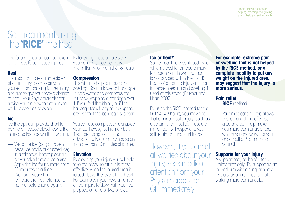### Self-treatment using the **'RICE'** method

The following action can be taken to help acute soft tissue injuries:

#### **Rest**

It is important to rest immediately after an injury, both to prevent yourself from causing further injury and also to give your body a chance to heal. Your Physiotherapist can advise you on how to get back to work as soon as possible.

#### **Ice**

Ice therapy can provide short-term pain relief, reduce blood flow to the injury and keep down the swelling.

- Wrap the ice (bag of frozen peas, ice packs or crushed ice) in a thin towel before placing it
- Apply the ice for no more than 10 minutes at a time
- Wait until your skin temperature has returned to normal before icing again.

By following these simple steps, you can ice an acute injury intermittently for the first 6–8 hours.

#### **Compression**

This will also help to reduce the swelling. Soak a towel or bandage in cold water and compress the injury by wrapping a bandage over it. If you feel throbbing, or if the bandage feels too tight, rewrap the area so that the bandage is looser.

You can use compression alongside your ice therapy. But remember, if you are using ice, it is not advisable to keep the compress on for more than 10 minutes at a time.

#### **Elevation**

By elevating your injury you will help take the pressure off it. It is most effective when the injured area is raised above the level of the heart. For example, if you have an ankle or foot injury, lie down with your foot propped on one or two pillows.

#### **Ice or heat?**

Some people are confused as to which is best for an acute injury. Research has shown that heat is not advised within the first 48 hours of an acute injury as it can increase bleeding and swelling if used at this stage (Brukner and Khan 2007).

By using the RICE method for the first 24–48 hours, you may find that a minor acute injury, such as a sprain, strain, pulled muscle or minor tear, will respond to your self-treatment and start to heal.

However, if you are at all worried about your injury, seek medical attention from your Physiotherapist or GP immediately.

**For example, extreme pain or swelling that is not helped by the RICE method, or a complete inability to put any weight on the injured area, may suggest that the injury is more serious.**

#### **Pain relief** — **RICE** method

— Pain medication– this allows movement of the affected area and can help make you more comfortable. Use whichever one works for you or consult a Pharmacist or your GP.

#### **Supports for your injury**

A support may be helpful for a limited time only. Try supporting an injured arm with a sling or pillow. Use a stick or crutches to make walking more comfortable.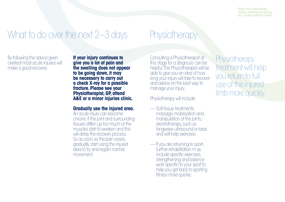Physio First works through helping, teaching and guiding you, to help yourself to health.

## What to do over the next 2–3 days

By following the advice given overleaf most acute injuries will make a good recovery.

**If your injury continues to give you a lot of pain and the swelling does not appear to be going down, it may be necessary to carry out a check X-ray for a possible fracture. Please see your Physiotherapist, GP, attend A&E or a minor injuries clinic.**

#### **Gradually use the injured area.**

An acute injury can become chronic if the joint and surrounding tissues stiffen up too much or the muscles start to weaken and this will delay the recovery process. So as soon as the pain eases, gradually start using the injured area to try and regain normal movement.

Consulting a Physiotherapist at this stage for a diagnosis can be helpful. The Physiotherapist will be able to give you an idea of how long your injury will take to recover and advice on the best way to manage your injury.

Physiotherapy will include:

**Physiotherapy** 

- Soft-tissue treatments, massage, mobilisation and manipulation of the joints, electrotherapy, such as longwave ultrasound or laser, and self-help exercises
- If you are returning to sport, further rehabilitation m ay include specific exercises, strengthening and balance work specific to your sport to help you get back to sporting fitness more quickly.

**Physiotherapy** treatment will help you return to full use of the injured limb more quickly.